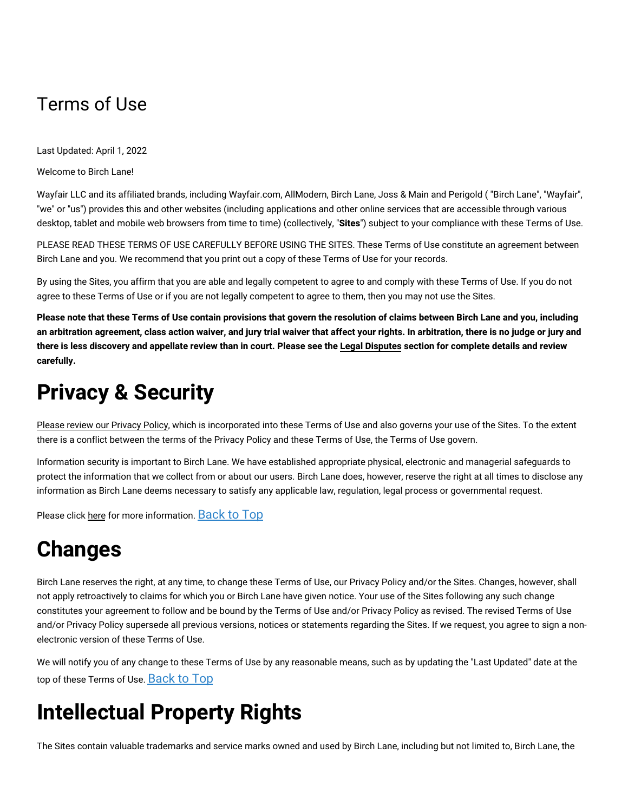#### Terms of Use

Last Updated: April 1, 2022

Welcome to Birch Lane!

Wayfair LLC and its affiliated brands, including Wayfair.com, AllModern, Birch Lane, Joss & Main and Perigold ( "Birch Lane", "Wayfair", "we" or "us") provides this and other websites (including applications and other online services that are accessible through various desktop, tablet and mobile web browsers from time to time) (collectively, "**Sites**") subject to your compliance with these Terms of Use.

PLEASE READ THESE TERMS OF USE CAREFULLY BEFORE USING THE SITES. These Terms of Use constitute an agreement between Birch Lane and you. We recommend that you print out a copy of these Terms of Use for your records.

By using the Sites, you affirm that you are able and legally competent to agree to and comply with these Terms of Use. If you do not agree to these Terms of Use or if you are not legally competent to agree to them, then you may not use the Sites.

Please note that these Terms of Use contain provisions that govern the resolution of claims between Birch Lane and you, including an arbitration agreement, class action waiver, and jury trial waiver that affect your rights. In arbitration, there is no judge or jury and there is less discovery and appellate review than in court. Please see the Legal [Disputes](#terms-disputes) section for complete details and review **carefully.**

## **Privacy & Security**

Please review our [Privacy](https://terms.birchlane.io/en-US#birchlane-privacy) Policy, which is incorporated into these Terms of Use and also governs your use of the Sites. To the extent there is a conflict between the terms of the Privacy Policy and these Terms of Use, the Terms of Use govern.

Information security is important to Birch Lane. We have established appropriate physical, electronic and managerial safeguards to protect the information that we collect from or about our users. Birch Lane does, however, reserve the right at all times to disclose any information as Birch Lane deems necessary to satisfy any applicable law, regulation, legal process or governmental request.

Please click [here](https://terms.birchlane.io/en-US#birchlane-privacy-security) for more information. [Back](#birchlane-terms-top) to Top

## **Changes**

Birch Lane reserves the right, at any time, to change these Terms of Use, our Privacy Policy and/or the Sites. Changes, however, shall not apply retroactively to claims for which you or Birch Lane have given notice. Your use of the Sites following any such change constitutes your agreement to follow and be bound by the Terms of Use and/or Privacy Policy as revised. The revised Terms of Use and/or Privacy Policy supersede all previous versions, notices or statements regarding the Sites. If we request, you agree to sign a nonelectronic version of these Terms of Use.

We will notify you of any change to these Terms of Use by any reasonable means, such as by updating the "Last Updated" date at the top of these Terms of Use. [Back](#birchlane-terms-top) to Top

## **Intellectual Property Rights**

The Sites contain valuable trademarks and service marks owned and used by Birch Lane, including but not limited to, Birch Lane, the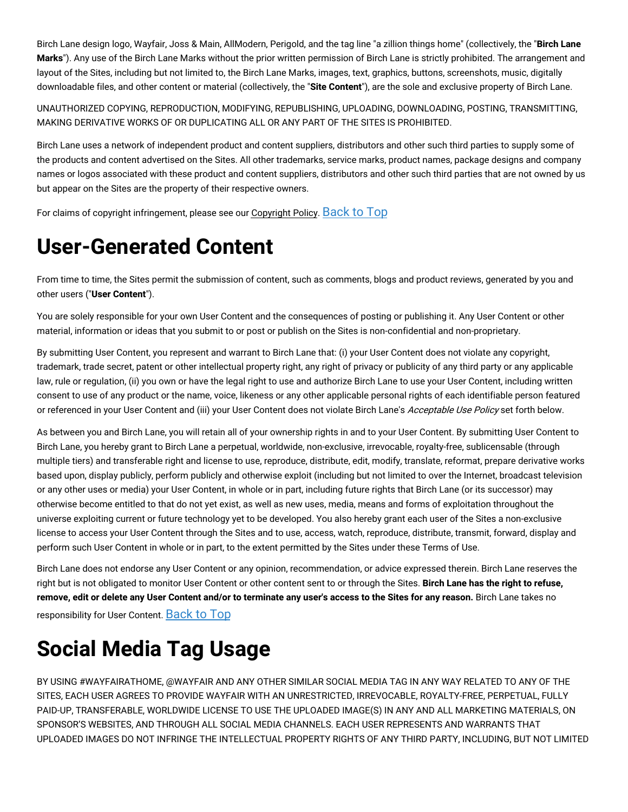Birch Lane design logo, Wayfair, Joss & Main, AllModern, Perigold, and the tag line "a zillion things home" (collectively, the "**Birch Lane Marks**"). Any use of the Birch Lane Marks without the prior written permission of Birch Lane is strictly prohibited. The arrangement and layout of the Sites, including but not limited to, the Birch Lane Marks, images, text, graphics, buttons, screenshots, music, digitally downloadable files, and other content or material (collectively, the "**Site Content**"), are the sole and exclusive property of Birch Lane.

UNAUTHORIZED COPYING, REPRODUCTION, MODIFYING, REPUBLISHING, UPLOADING, DOWNLOADING, POSTING, TRANSMITTING, MAKING DERIVATIVE WORKS OF OR DUPLICATING ALL OR ANY PART OF THE SITES IS PROHIBITED.

Birch Lane uses a network of independent product and content suppliers, distributors and other such third parties to supply some of the products and content advertised on the Sites. All other trademarks, service marks, product names, package designs and company names or logos associated with these product and content suppliers, distributors and other such third parties that are not owned by us but appear on the Sites are the property of their respective owners.

For claims of copyright infringement, please see our [Copyright](https://terms.birchlane.io/en-US#birchlane-copyright) Policy. [Back](#birchlane-terms-top) to Top

## **User-Generated Content**

From time to time, the Sites permit the submission of content, such as comments, blogs and product reviews, generated by you and other users ("**User Content**").

You are solely responsible for your own User Content and the consequences of posting or publishing it. Any User Content or other material, information or ideas that you submit to or post or publish on the Sites is non-confidential and non-proprietary.

By submitting User Content, you represent and warrant to Birch Lane that: (i) your User Content does not violate any copyright, trademark, trade secret, patent or other intellectual property right, any right of privacy or publicity of any third party or any applicable law, rule or regulation, (ii) you own or have the legal right to use and authorize Birch Lane to use your User Content, including written consent to use of any product or the name, voice, likeness or any other applicable personal rights of each identifiable person featured or referenced in your User Content and (iii) your User Content does not violate Birch Lane's Acceptable Use Policy set forth below.

As between you and Birch Lane, you will retain all of your ownership rights in and to your User Content. By submitting User Content to Birch Lane, you hereby grant to Birch Lane a perpetual, worldwide, non-exclusive, irrevocable, royalty-free, sublicensable (through multiple tiers) and transferable right and license to use, reproduce, distribute, edit, modify, translate, reformat, prepare derivative works based upon, display publicly, perform publicly and otherwise exploit (including but not limited to over the Internet, broadcast television or any other uses or media) your User Content, in whole or in part, including future rights that Birch Lane (or its successor) may otherwise become entitled to that do not yet exist, as well as new uses, media, means and forms of exploitation throughout the universe exploiting current or future technology yet to be developed. You also hereby grant each user of the Sites a non-exclusive license to access your User Content through the Sites and to use, access, watch, reproduce, distribute, transmit, forward, display and perform such User Content in whole or in part, to the extent permitted by the Sites under these Terms of Use.

Birch Lane does not endorse any User Content or any opinion, recommendation, or advice expressed therein. Birch Lane reserves the right but is not obligated to monitor User Content or other content sent to or through the Sites. **Birch Lane has the right to refuse,** remove, edit or delete any User Content and/or to terminate any user's access to the Sites for any reason. Birch Lane takes no responsibility for User Content. [Back](#birchlane-terms-top) to Top

## **Social Media Tag Usage**

BY USING #WAYFAIRATHOME, @WAYFAIR AND ANY OTHER SIMILAR SOCIAL MEDIA TAG IN ANY WAY RELATED TO ANY OF THE SITES, EACH USER AGREES TO PROVIDE WAYFAIR WITH AN UNRESTRICTED, IRREVOCABLE, ROYALTY-FREE, PERPETUAL, FULLY PAID-UP, TRANSFERABLE, WORLDWIDE LICENSE TO USE THE UPLOADED IMAGE(S) IN ANY AND ALL MARKETING MATERIALS, ON SPONSOR'S WEBSITES, AND THROUGH ALL SOCIAL MEDIA CHANNELS. EACH USER REPRESENTS AND WARRANTS THAT UPLOADED IMAGES DO NOT INFRINGE THE INTELLECTUAL PROPERTY RIGHTS OF ANY THIRD PARTY, INCLUDING, BUT NOT LIMITED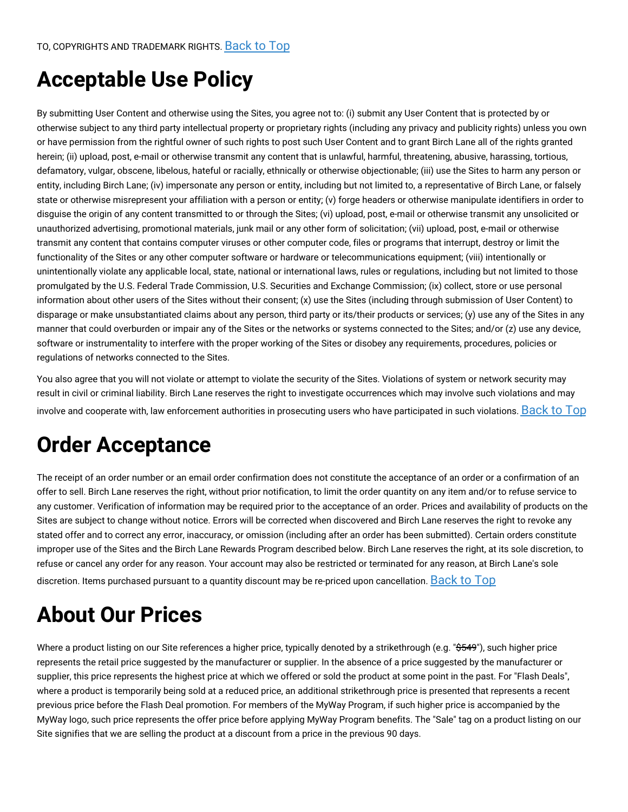## **Acceptable Use Policy**

By submitting User Content and otherwise using the Sites, you agree not to: (i) submit any User Content that is protected by or otherwise subject to any third party intellectual property or proprietary rights (including any privacy and publicity rights) unless you own or have permission from the rightful owner of such rights to post such User Content and to grant Birch Lane all of the rights granted herein; (ii) upload, post, e-mail or otherwise transmit any content that is unlawful, harmful, threatening, abusive, harassing, tortious, defamatory, vulgar, obscene, libelous, hateful or racially, ethnically or otherwise objectionable; (iii) use the Sites to harm any person or entity, including Birch Lane; (iv) impersonate any person or entity, including but not limited to, a representative of Birch Lane, or falsely state or otherwise misrepresent your affiliation with a person or entity; (v) forge headers or otherwise manipulate identifiers in order to disguise the origin of any content transmitted to or through the Sites; (vi) upload, post, e-mail or otherwise transmit any unsolicited or unauthorized advertising, promotional materials, junk mail or any other form of solicitation; (vii) upload, post, e-mail or otherwise transmit any content that contains computer viruses or other computer code, files or programs that interrupt, destroy or limit the functionality of the Sites or any other computer software or hardware or telecommunications equipment; (viii) intentionally or unintentionally violate any applicable local, state, national or international laws, rules or regulations, including but not limited to those promulgated by the U.S. Federal Trade Commission, U.S. Securities and Exchange Commission; (ix) collect, store or use personal information about other users of the Sites without their consent; (x) use the Sites (including through submission of User Content) to disparage or make unsubstantiated claims about any person, third party or its/their products or services; (y) use any of the Sites in any manner that could overburden or impair any of the Sites or the networks or systems connected to the Sites; and/or (z) use any device, software or instrumentality to interfere with the proper working of the Sites or disobey any requirements, procedures, policies or regulations of networks connected to the Sites.

You also agree that you will not violate or attempt to violate the security of the Sites. Violations of system or network security may result in civil or criminal liability. Birch Lane reserves the right to investigate occurrences which may involve such violations and may involve and cooperate with, law enforcement authorities in prosecuting users who have participated in such violations.  $Back$  to  $Top$ 

## **Order Acceptance**

The receipt of an order number or an email order confirmation does not constitute the acceptance of an order or a confirmation of an offer to sell. Birch Lane reserves the right, without prior notification, to limit the order quantity on any item and/or to refuse service to any customer. Verification of information may be required prior to the acceptance of an order. Prices and availability of products on the Sites are subject to change without notice. Errors will be corrected when discovered and Birch Lane reserves the right to revoke any stated offer and to correct any error, inaccuracy, or omission (including after an order has been submitted). Certain orders constitute improper use of the Sites and the Birch Lane Rewards Program described below. Birch Lane reserves the right, at its sole discretion, to refuse or cancel any order for any reason. Your account may also be restricted or terminated for any reason, at Birch Lane's sole discretion. Items purchased pursuant to a quantity discount may be re-priced upon cancellation. [Back](#birchlane-terms-top) to Top

## **About Our Prices**

Where a product listing on our Site references a higher price, typically denoted by a strikethrough (e.g. "\$549"), such higher price represents the retail price suggested by the manufacturer or supplier. In the absence of a price suggested by the manufacturer or supplier, this price represents the highest price at which we offered or sold the product at some point in the past. For "Flash Deals", where a product is temporarily being sold at a reduced price, an additional strikethrough price is presented that represents a recent previous price before the Flash Deal promotion. For members of the MyWay Program, if such higher price is accompanied by the MyWay logo, such price represents the offer price before applying MyWay Program benefits. The "Sale" tag on a product listing on our Site signifies that we are selling the product at a discount from a price in the previous 90 days.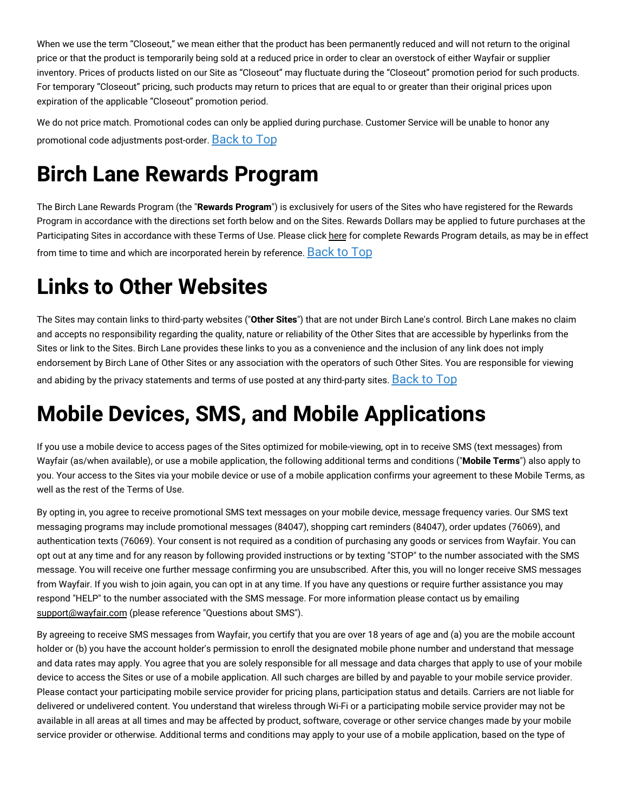When we use the term "Closeout," we mean either that the product has been permanently reduced and will not return to the original price or that the product is temporarily being sold at a reduced price in order to clear an overstock of either Wayfair or supplier inventory. Prices of products listed on our Site as "Closeout" may fluctuate during the "Closeout" promotion period for such products. For temporary "Closeout" pricing, such products may return to prices that are equal to or greater than their original prices upon expiration of the applicable "Closeout" promotion period.

We do not price match. Promotional codes can only be applied during purchase. Customer Service will be unable to honor any promotional code adjustments post-order. [Back](#birchlane-terms-top) to Top

## **Birch Lane Rewards Program**

The Birch Lane Rewards Program (the "**Rewards Program**") is exclusively for users of the Sites who have registered for the Rewards Program in accordance with the directions set forth below and on the Sites. Rewards Dollars may be applied to future purchases at the Participating Sites in accordance with these Terms of Use. Please click [here](#birchlane-rewards) for complete Rewards Program details, as may be in effect from time to time and which are incorporated herein by reference. [Back](#birchlane-terms-top) to Top

## **Links to Other Websites**

The Sites may contain links to third-party websites ("**Other Sites**") that are not under Birch Lane's control. Birch Lane makes no claim and accepts no responsibility regarding the quality, nature or reliability of the Other Sites that are accessible by hyperlinks from the Sites or link to the Sites. Birch Lane provides these links to you as a convenience and the inclusion of any link does not imply endorsement by Birch Lane of Other Sites or any association with the operators of such Other Sites. You are responsible for viewing and abiding by the privacy statements and terms of use posted at any third-party sites. [Back](#birchlane-terms-top) to Top

## **Mobile Devices, SMS, and Mobile Applications**

If you use a mobile device to access pages of the Sites optimized for mobile-viewing, opt in to receive SMS (text messages) from Wayfair (as/when available), or use a mobile application, the following additional terms and conditions ("**Mobile Terms**") also apply to you. Your access to the Sites via your mobile device or use of a mobile application confirms your agreement to these Mobile Terms, as well as the rest of the Terms of Use.

By opting in, you agree to receive promotional SMS text messages on your mobile device, message frequency varies. Our SMS text messaging programs may include promotional messages (84047), shopping cart reminders (84047), order updates (76069), and authentication texts (76069). Your consent is not required as a condition of purchasing any goods or services from Wayfair. You can opt out at any time and for any reason by following provided instructions or by texting "STOP" to the number associated with the SMS message. You will receive one further message confirming you are unsubscribed. After this, you will no longer receive SMS messages from Wayfair. If you wish to join again, you can opt in at any time. If you have any questions or require further assistance you may respond "HELP" to the number associated with the SMS message. For more information please contact us by emailing [support@wayfair.com](mailto:support@wayfair.com) (please reference "Questions about SMS").

By agreeing to receive SMS messages from Wayfair, you certify that you are over 18 years of age and (a) you are the mobile account holder or (b) you have the account holder's permission to enroll the designated mobile phone number and understand that message and data rates may apply. You agree that you are solely responsible for all message and data charges that apply to use of your mobile device to access the Sites or use of a mobile application. All such charges are billed by and payable to your mobile service provider. Please contact your participating mobile service provider for pricing plans, participation status and details. Carriers are not liable for delivered or undelivered content. You understand that wireless through Wi-Fi or a participating mobile service provider may not be available in all areas at all times and may be affected by product, software, coverage or other service changes made by your mobile service provider or otherwise. Additional terms and conditions may apply to your use of a mobile application, based on the type of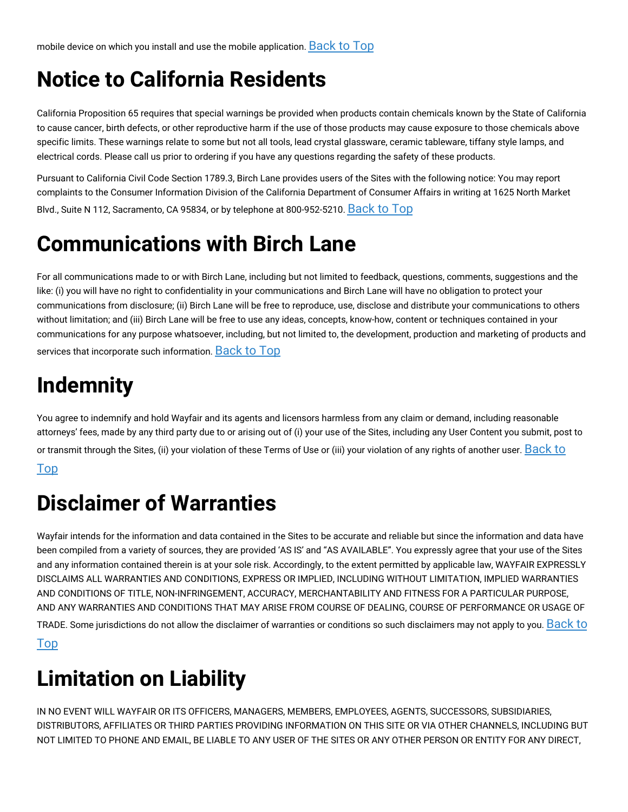## **Notice to California Residents**

California Proposition 65 requires that special warnings be provided when products contain chemicals known by the State of California to cause cancer, birth defects, or other reproductive harm if the use of those products may cause exposure to those chemicals above specific limits. These warnings relate to some but not all tools, lead crystal glassware, ceramic tableware, tiffany style lamps, and electrical cords. Please call us prior to ordering if you have any questions regarding the safety of these products.

Pursuant to California Civil Code Section 1789.3, Birch Lane provides users of the Sites with the following notice: You may report complaints to the Consumer Information Division of the California Department of Consumer Affairs in writing at 1625 North Market Blvd., Suite N 112, Sacramento, CA 95834, or by telephone at 800-952-5210. [Back](#birchlane-terms-top) to Top

## **Communications with Birch Lane**

For all communications made to or with Birch Lane, including but not limited to feedback, questions, comments, suggestions and the like: (i) you will have no right to confidentiality in your communications and Birch Lane will have no obligation to protect your communications from disclosure; (ii) Birch Lane will be free to reproduce, use, disclose and distribute your communications to others without limitation; and (iii) Birch Lane will be free to use any ideas, concepts, know-how, content or techniques contained in your communications for any purpose whatsoever, including, but not limited to, the development, production and marketing of products and services that incorporate such information. [Back](#birchlane-terms-top) to Top

## **Indemnity**

You agree to indemnify and hold Wayfair and its agents and licensors harmless from any claim or demand, including reasonable attorneys' fees, made by any third party due to or arising out of (i) your use of the Sites, including any User Content you submit, post to or transmit through the Sites, (ii) your violation of these Terms of Use or (iii) your violation of any rights of another user. [Back](#birchlane-terms-top) to

#### Top

## **Disclaimer of Warranties**

Wayfair intends for the information and data contained in the Sites to be accurate and reliable but since the information and data have been compiled from a variety of sources, they are provided 'AS IS' and "AS AVAILABLE". You expressly agree that your use of the Sites and any information contained therein is at your sole risk. Accordingly, to the extent permitted by applicable law, WAYFAIR EXPRESSLY DISCLAIMS ALL WARRANTIES AND CONDITIONS, EXPRESS OR IMPLIED, INCLUDING WITHOUT LIMITATION, IMPLIED WARRANTIES AND CONDITIONS OF TITLE, NON-INFRINGEMENT, ACCURACY, MERCHANTABILITY AND FITNESS FOR A PARTICULAR PURPOSE, AND ANY WARRANTIES AND CONDITIONS THAT MAY ARISE FROM COURSE OF DEALING, COURSE OF PERFORMANCE OR USAGE OF TRADE. Some [jurisdictions](#birchlane-terms-top) do not allow the disclaimer of warranties or conditions so such disclaimers may not apply to you. Back to Top

## **Limitation on Liability**

IN NO EVENT WILL WAYFAIR OR ITS OFFICERS, MANAGERS, MEMBERS, EMPLOYEES, AGENTS, SUCCESSORS, SUBSIDIARIES, DISTRIBUTORS, AFFILIATES OR THIRD PARTIES PROVIDING INFORMATION ON THIS SITE OR VIA OTHER CHANNELS, INCLUDING BUT NOT LIMITED TO PHONE AND EMAIL, BE LIABLE TO ANY USER OF THE SITES OR ANY OTHER PERSON OR ENTITY FOR ANY DIRECT,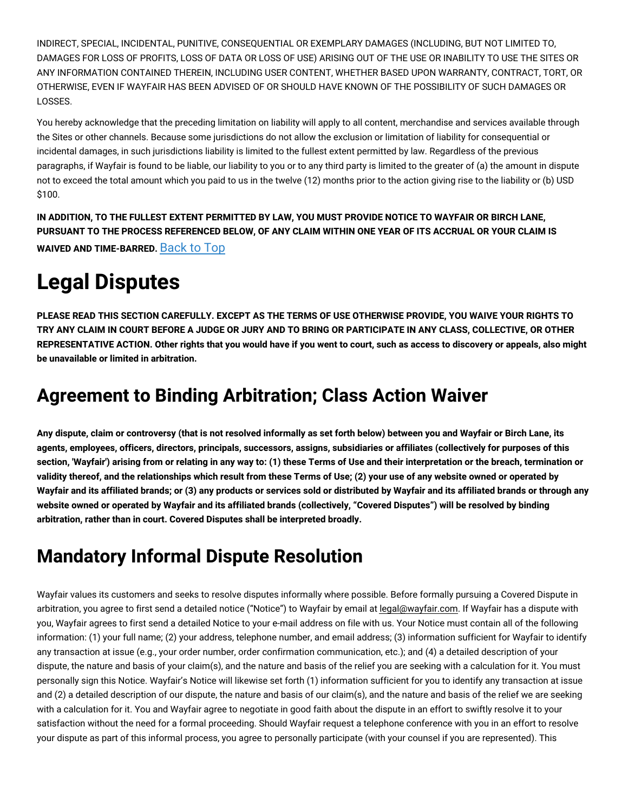INDIRECT, SPECIAL, INCIDENTAL, PUNITIVE, CONSEQUENTIAL OR EXEMPLARY DAMAGES (INCLUDING, BUT NOT LIMITED TO, DAMAGES FOR LOSS OF PROFITS, LOSS OF DATA OR LOSS OF USE) ARISING OUT OF THE USE OR INABILITY TO USE THE SITES OR ANY INFORMATION CONTAINED THEREIN, INCLUDING USER CONTENT, WHETHER BASED UPON WARRANTY, CONTRACT, TORT, OR OTHERWISE, EVEN IF WAYFAIR HAS BEEN ADVISED OF OR SHOULD HAVE KNOWN OF THE POSSIBILITY OF SUCH DAMAGES OR LOSSES.

You hereby acknowledge that the preceding limitation on liability will apply to all content, merchandise and services available through the Sites or other channels. Because some jurisdictions do not allow the exclusion or limitation of liability for consequential or incidental damages, in such jurisdictions liability is limited to the fullest extent permitted by law. Regardless of the previous paragraphs, if Wayfair is found to be liable, our liability to you or to any third party is limited to the greater of (a) the amount in dispute not to exceed the total amount which you paid to us in the twelve (12) months prior to the action giving rise to the liability or (b) USD \$100.

IN ADDITION, TO THE FULLEST EXTENT PERMITTED BY LAW, YOU MUST PROVIDE NOTICE TO WAYFAIR OR BIRCH LANE, PURSUANT TO THE PROCESS REFERENCED BELOW, OF ANY CLAIM WITHIN ONE YEAR OF ITS ACCRUAL OR YOUR CLAIM IS **WAIVED AND TIME-BARRED.** [Back](#birchlane-terms-top) to Top

## **Legal Disputes**

PLEASE READ THIS SECTION CAREFULLY. EXCEPT AS THE TERMS OF USE OTHERWISE PROVIDE, YOU WAIVE YOUR RIGHTS TO TRY ANY CLAIM IN COURT BEFORE A JUDGE OR JURY AND TO BRING OR PARTICIPATE IN ANY CLASS, COLLECTIVE, OR OTHER REPRESENTATIVE ACTION. Other rights that you would have if you went to court, such as access to discovery or appeals, also might **be unavailable or limited in arbitration.**

#### **Agreement to Binding Arbitration; Class Action Waiver**

Any dispute, claim or controversy (that is not resolved informally as set forth below) between you and Wayfair or Birch Lane, its agents, employees, officers, directors, principals, successors, assigns, subsidiaries or affiliates (collectively for purposes of this section, 'Wayfair') arising from or relating in any way to: (1) these Terms of Use and their interpretation or the breach, termination or validity thereof, and the relationships which result from these Terms of Use; (2) your use of any website owned or operated by Wayfair and its affiliated brands; or (3) any products or services sold or distributed by Wayfair and its affiliated brands or through any website owned or operated by Wayfair and its affiliated brands (collectively, "Covered Disputes") will be resolved by binding **arbitration, rather than in court. Covered Disputes shall be interpreted broadly.**

## **Mandatory Informal Dispute Resolution**

Wayfair values its customers and seeks to resolve disputes informally where possible. Before formally pursuing a Covered Dispute in arbitration, you agree to first send a detailed notice ("Notice") to Wayfair by email at [legal@wayfair.com.](mailto:legal@wayfair.com) If Wayfair has a dispute with you, Wayfair agrees to first send a detailed Notice to your e-mail address on file with us. Your Notice must contain all of the following information: (1) your full name; (2) your address, telephone number, and email address; (3) information sufficient for Wayfair to identify any transaction at issue (e.g., your order number, order confirmation communication, etc.); and (4) a detailed description of your dispute, the nature and basis of your claim(s), and the nature and basis of the relief you are seeking with a calculation for it. You must personally sign this Notice. Wayfair's Notice will likewise set forth (1) information sufficient for you to identify any transaction at issue and (2) a detailed description of our dispute, the nature and basis of our claim(s), and the nature and basis of the relief we are seeking with a calculation for it. You and Wayfair agree to negotiate in good faith about the dispute in an effort to swiftly resolve it to your satisfaction without the need for a formal proceeding. Should Wayfair request a telephone conference with you in an effort to resolve your dispute as part of this informal process, you agree to personally participate (with your counsel if you are represented). This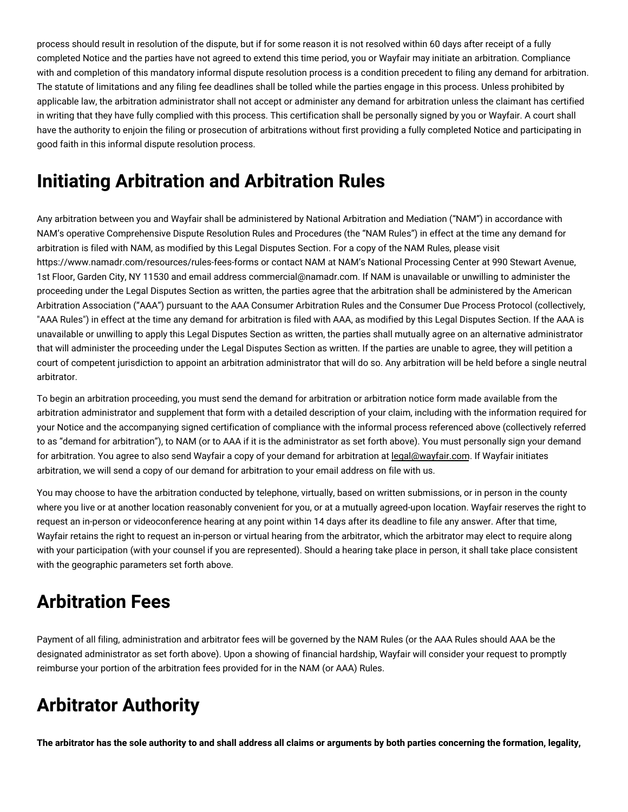process should result in resolution of the dispute, but if for some reason it is not resolved within 60 days after receipt of a fully completed Notice and the parties have not agreed to extend this time period, you or Wayfair may initiate an arbitration. Compliance with and completion of this mandatory informal dispute resolution process is a condition precedent to filing any demand for arbitration. The statute of limitations and any filing fee deadlines shall be tolled while the parties engage in this process. Unless prohibited by applicable law, the arbitration administrator shall not accept or administer any demand for arbitration unless the claimant has certified in writing that they have fully complied with this process. This certification shall be personally signed by you or Wayfair. A court shall have the authority to enjoin the filing or prosecution of arbitrations without first providing a fully completed Notice and participating in good faith in this informal dispute resolution process.

#### **Initiating Arbitration and Arbitration Rules**

Any arbitration between you and Wayfair shall be administered by National Arbitration and Mediation ("NAM") in accordance with NAM's operative Comprehensive Dispute Resolution Rules and Procedures (the "NAM Rules") in effect at the time any demand for arbitration is filed with NAM, as modified by this Legal Disputes Section. For a copy of the NAM Rules, please visit https://www.namadr.com/resources/rules-fees-forms or contact NAM at NAM's National Processing Center at 990 Stewart Avenue, 1st Floor, Garden City, NY 11530 and email address commercial@namadr.com. If NAM is unavailable or unwilling to administer the proceeding under the Legal Disputes Section as written, the parties agree that the arbitration shall be administered by the American Arbitration Association ("AAA") pursuant to the AAA Consumer Arbitration Rules and the Consumer Due Process Protocol (collectively, "AAA Rules") in effect at the time any demand for arbitration is filed with AAA, as modified by this Legal Disputes Section. If the AAA is unavailable or unwilling to apply this Legal Disputes Section as written, the parties shall mutually agree on an alternative administrator that will administer the proceeding under the Legal Disputes Section as written. If the parties are unable to agree, they will petition a court of competent jurisdiction to appoint an arbitration administrator that will do so. Any arbitration will be held before a single neutral arbitrator.

To begin an arbitration proceeding, you must send the demand for arbitration or arbitration notice form made available from the arbitration administrator and supplement that form with a detailed description of your claim, including with the information required for your Notice and the accompanying signed certification of compliance with the informal process referenced above (collectively referred to as "demand for arbitration"), to NAM (or to AAA if it is the administrator as set forth above). You must personally sign your demand for arbitration. You agree to also send Wayfair a copy of your demand for arbitration at [legal@wayfair.com.](mailto:legal@wayfair.com) If Wayfair initiates arbitration, we will send a copy of our demand for arbitration to your email address on file with us.

You may choose to have the arbitration conducted by telephone, virtually, based on written submissions, or in person in the county where you live or at another location reasonably convenient for you, or at a mutually agreed-upon location. Wayfair reserves the right to request an in-person or videoconference hearing at any point within 14 days after its deadline to file any answer. After that time, Wayfair retains the right to request an in-person or virtual hearing from the arbitrator, which the arbitrator may elect to require along with your participation (with your counsel if you are represented). Should a hearing take place in person, it shall take place consistent with the geographic parameters set forth above.

#### **Arbitration Fees**

Payment of all filing, administration and arbitrator fees will be governed by the NAM Rules (or the AAA Rules should AAA be the designated administrator as set forth above). Upon a showing of financial hardship, Wayfair will consider your request to promptly reimburse your portion of the arbitration fees provided for in the NAM (or AAA) Rules.

## **Arbitrator Authority**

The arbitrator has the sole authority to and shall address all claims or arguments by both parties concerning the formation, legality,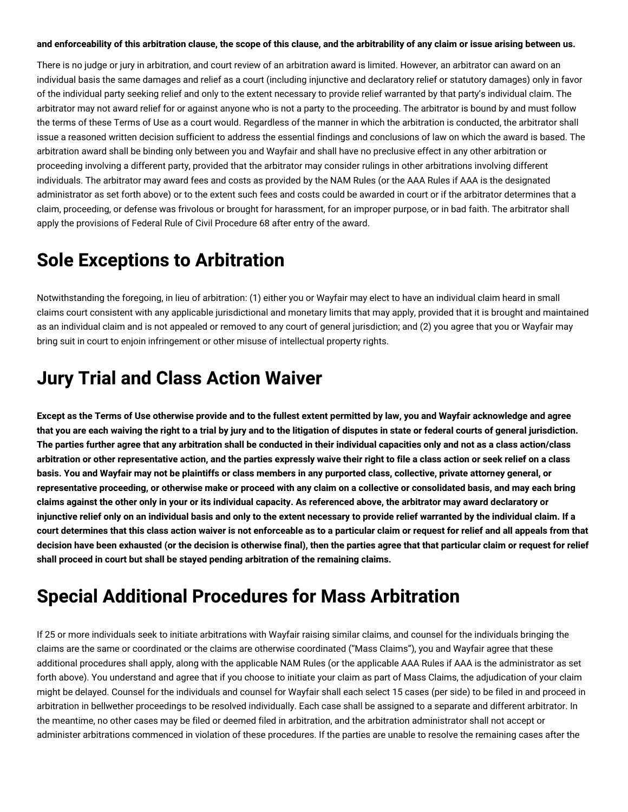#### and enforceability of this arbitration clause, the scope of this clause, and the arbitrability of any claim or issue arising between us.

There is no judge or jury in arbitration, and court review of an arbitration award is limited. However, an arbitrator can award on an individual basis the same damages and relief as a court (including injunctive and declaratory relief or statutory damages) only in favor of the individual party seeking relief and only to the extent necessary to provide relief warranted by that party's individual claim. The arbitrator may not award relief for or against anyone who is not a party to the proceeding. The arbitrator is bound by and must follow the terms of these Terms of Use as a court would. Regardless of the manner in which the arbitration is conducted, the arbitrator shall issue a reasoned written decision sufficient to address the essential findings and conclusions of law on which the award is based. The arbitration award shall be binding only between you and Wayfair and shall have no preclusive effect in any other arbitration or proceeding involving a different party, provided that the arbitrator may consider rulings in other arbitrations involving different individuals. The arbitrator may award fees and costs as provided by the NAM Rules (or the AAA Rules if AAA is the designated administrator as set forth above) or to the extent such fees and costs could be awarded in court or if the arbitrator determines that a claim, proceeding, or defense was frivolous or brought for harassment, for an improper purpose, or in bad faith. The arbitrator shall apply the provisions of Federal Rule of Civil Procedure 68 after entry of the award.

#### **Sole Exceptions to Arbitration**

Notwithstanding the foregoing, in lieu of arbitration: (1) either you or Wayfair may elect to have an individual claim heard in small claims court consistent with any applicable jurisdictional and monetary limits that may apply, provided that it is brought and maintained as an individual claim and is not appealed or removed to any court of general jurisdiction; and (2) you agree that you or Wayfair may bring suit in court to enjoin infringement or other misuse of intellectual property rights.

#### **Jury Trial and Class Action Waiver**

Except as the Terms of Use otherwise provide and to the fullest extent permitted by law, you and Wayfair acknowledge and agree that you are each waiving the right to a trial by jury and to the litigation of disputes in state or federal courts of general jurisdiction. The parties further agree that any arbitration shall be conducted in their individual capacities only and not as a class action/class arbitration or other representative action, and the parties expressly waive their right to file a class action or seek relief on a class basis. You and Wayfair may not be plaintiffs or class members in any purported class, collective, private attorney general, or representative proceeding, or otherwise make or proceed with any claim on a collective or consolidated basis, and may each bring claims against the other only in your or its individual capacity. As referenced above, the arbitrator may award declaratory or injunctive relief only on an individual basis and only to the extent necessary to provide relief warranted by the individual claim. If a court determines that this class action waiver is not enforceable as to a particular claim or request for relief and all appeals from that decision have been exhausted (or the decision is otherwise final), then the parties agree that that particular claim or request for relief **shall proceed in court but shall be stayed pending arbitration of the remaining claims.**

#### **Special Additional Procedures for Mass Arbitration**

If 25 or more individuals seek to initiate arbitrations with Wayfair raising similar claims, and counsel for the individuals bringing the claims are the same or coordinated or the claims are otherwise coordinated ("Mass Claims"), you and Wayfair agree that these additional procedures shall apply, along with the applicable NAM Rules (or the applicable AAA Rules if AAA is the administrator as set forth above). You understand and agree that if you choose to initiate your claim as part of Mass Claims, the adjudication of your claim might be delayed. Counsel for the individuals and counsel for Wayfair shall each select 15 cases (per side) to be filed in and proceed in arbitration in bellwether proceedings to be resolved individually. Each case shall be assigned to a separate and different arbitrator. In the meantime, no other cases may be filed or deemed filed in arbitration, and the arbitration administrator shall not accept or administer arbitrations commenced in violation of these procedures. If the parties are unable to resolve the remaining cases after the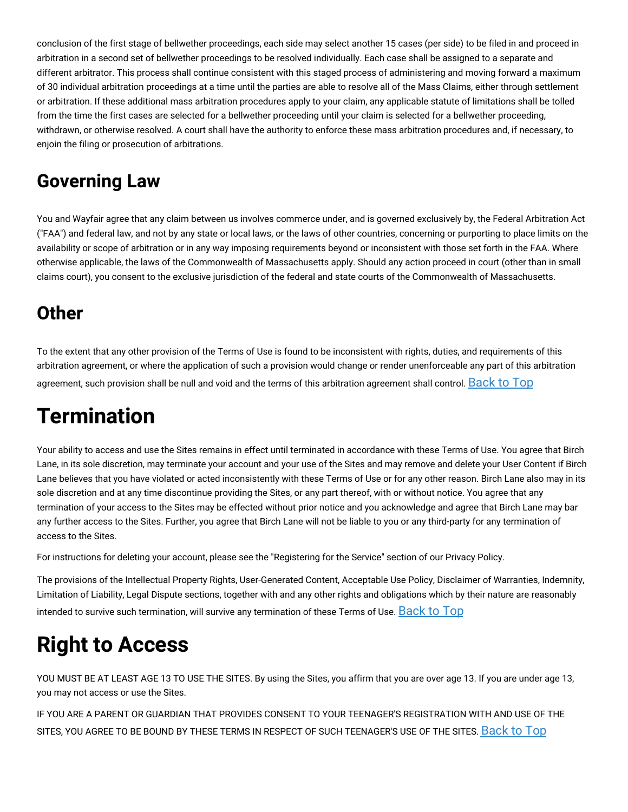conclusion of the first stage of bellwether proceedings, each side may select another 15 cases (per side) to be filed in and proceed in arbitration in a second set of bellwether proceedings to be resolved individually. Each case shall be assigned to a separate and different arbitrator. This process shall continue consistent with this staged process of administering and moving forward a maximum of 30 individual arbitration proceedings at a time until the parties are able to resolve all of the Mass Claims, either through settlement or arbitration. If these additional mass arbitration procedures apply to your claim, any applicable statute of limitations shall be tolled from the time the first cases are selected for a bellwether proceeding until your claim is selected for a bellwether proceeding, withdrawn, or otherwise resolved. A court shall have the authority to enforce these mass arbitration procedures and, if necessary, to enjoin the filing or prosecution of arbitrations.

#### **Governing Law**

You and Wayfair agree that any claim between us involves commerce under, and is governed exclusively by, the Federal Arbitration Act ("FAA") and federal law, and not by any state or local laws, or the laws of other countries, concerning or purporting to place limits on the availability or scope of arbitration or in any way imposing requirements beyond or inconsistent with those set forth in the FAA. Where otherwise applicable, the laws of the Commonwealth of Massachusetts apply. Should any action proceed in court (other than in small claims court), you consent to the exclusive jurisdiction of the federal and state courts of the Commonwealth of Massachusetts.

#### **Other**

To the extent that any other provision of the Terms of Use is found to be inconsistent with rights, duties, and requirements of this arbitration agreement, or where the application of such a provision would change or render unenforceable any part of this arbitration agreement, such provision shall be null and void and the terms of this arbitration agreement shall control. [Back](#birchlane-terms-top) to Top

## **Termination**

Your ability to access and use the Sites remains in effect until terminated in accordance with these Terms of Use. You agree that Birch Lane, in its sole discretion, may terminate your account and your use of the Sites and may remove and delete your User Content if Birch Lane believes that you have violated or acted inconsistently with these Terms of Use or for any other reason. Birch Lane also may in its sole discretion and at any time discontinue providing the Sites, or any part thereof, with or without notice. You agree that any termination of your access to the Sites may be effected without prior notice and you acknowledge and agree that Birch Lane may bar any further access to the Sites. Further, you agree that Birch Lane will not be liable to you or any third-party for any termination of access to the Sites.

For instructions for deleting your account, please see the "Registering for the Service" section of our Privacy Policy.

The provisions of the Intellectual Property Rights, User-Generated Content, Acceptable Use Policy, Disclaimer of Warranties, Indemnity, Limitation of Liability, Legal Dispute sections, together with and any other rights and obligations which by their nature are reasonably intended to survive such termination, will survive any termination of these Terms of Use. [Back](#birchlane-terms-top) to Top

# **Right to Access**

YOU MUST BE AT LEAST AGE 13 TO USE THE SITES. By using the Sites, you affirm that you are over age 13. If you are under age 13, you may not access or use the Sites.

IF YOU ARE A PARENT OR GUARDIAN THAT PROVIDES CONSENT TO YOUR TEENAGER'S REGISTRATION WITH AND USE OF THE SITES, YOU AGREE TO BE BOUND BY THESE TERMS IN RESPECT OF SUCH TEENAGER'S USE OF THE SITES. [Back](#birchlane-terms-top) to Top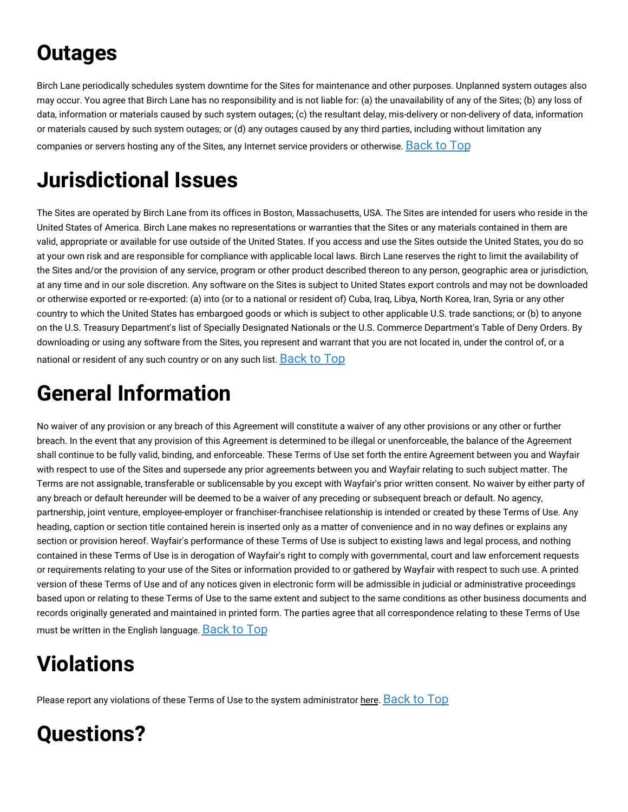## **Outages**

Birch Lane periodically schedules system downtime for the Sites for maintenance and other purposes. Unplanned system outages also may occur. You agree that Birch Lane has no responsibility and is not liable for: (a) the unavailability of any of the Sites; (b) any loss of data, information or materials caused by such system outages; (c) the resultant delay, mis-delivery or non-delivery of data, information or materials caused by such system outages; or (d) any outages caused by any third parties, including without limitation any companies or servers hosting any of the Sites, any Internet service providers or otherwise. [Back](#birchlane-terms-top) to Top

## **Jurisdictional Issues**

The Sites are operated by Birch Lane from its offices in Boston, Massachusetts, USA. The Sites are intended for users who reside in the United States of America. Birch Lane makes no representations or warranties that the Sites or any materials contained in them are valid, appropriate or available for use outside of the United States. If you access and use the Sites outside the United States, you do so at your own risk and are responsible for compliance with applicable local laws. Birch Lane reserves the right to limit the availability of the Sites and/or the provision of any service, program or other product described thereon to any person, geographic area or jurisdiction, at any time and in our sole discretion. Any software on the Sites is subject to United States export controls and may not be downloaded or otherwise exported or re-exported: (a) into (or to a national or resident of) Cuba, Iraq, Libya, North Korea, Iran, Syria or any other country to which the United States has embargoed goods or which is subject to other applicable U.S. trade sanctions; or (b) to anyone on the U.S. Treasury Department's list of Specially Designated Nationals or the U.S. Commerce Department's Table of Deny Orders. By downloading or using any software from the Sites, you represent and warrant that you are not located in, under the control of, or a national or resident of any such country or on any such list.  $Back$  to  $Top$ 

## **General Information**

No waiver of any provision or any breach of this Agreement will constitute a waiver of any other provisions or any other or further breach. In the event that any provision of this Agreement is determined to be illegal or unenforceable, the balance of the Agreement shall continue to be fully valid, binding, and enforceable. These Terms of Use set forth the entire Agreement between you and Wayfair with respect to use of the Sites and supersede any prior agreements between you and Wayfair relating to such subject matter. The Terms are not assignable, transferable or sublicensable by you except with Wayfair's prior written consent. No waiver by either party of any breach or default hereunder will be deemed to be a waiver of any preceding or subsequent breach or default. No agency, partnership, joint venture, employee-employer or franchiser-franchisee relationship is intended or created by these Terms of Use. Any heading, caption or section title contained herein is inserted only as a matter of convenience and in no way defines or explains any section or provision hereof. Wayfair's performance of these Terms of Use is subject to existing laws and legal process, and nothing contained in these Terms of Use is in derogation of Wayfair's right to comply with governmental, court and law enforcement requests or requirements relating to your use of the Sites or information provided to or gathered by Wayfair with respect to such use. A printed version of these Terms of Use and of any notices given in electronic form will be admissible in judicial or administrative proceedings based upon or relating to these Terms of Use to the same extent and subject to the same conditions as other business documents and records originally generated and maintained in printed form. The parties agree that all correspondence relating to these Terms of Use must be written in the English language. [Back](#birchlane-terms-top) to Top

## **Violations**

Please report any violations of these Terms of Use to the system administrator [here.](https://www.birchlane.com/contact_us) [Back](#birchlane-terms-top) to Top

## **Questions?**